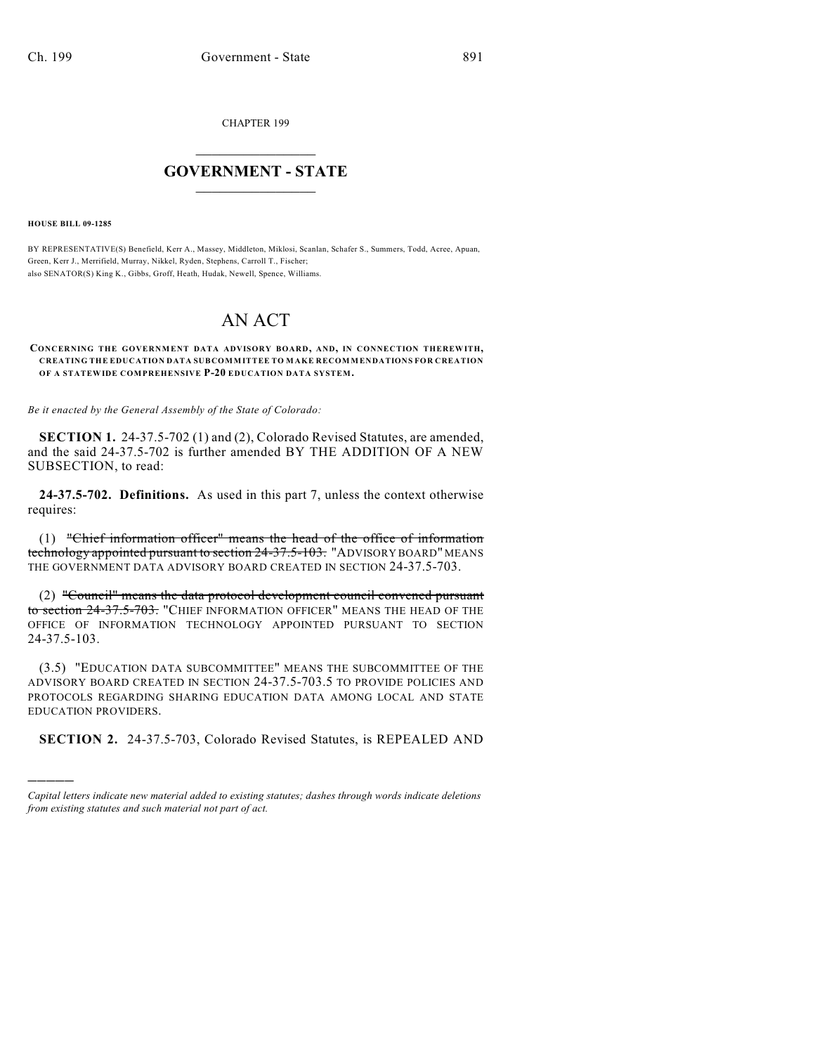CHAPTER 199

## $\overline{\phantom{a}}$  . The set of the set of the set of the set of the set of the set of the set of the set of the set of the set of the set of the set of the set of the set of the set of the set of the set of the set of the set o **GOVERNMENT - STATE**  $\_$

**HOUSE BILL 09-1285**

)))))

BY REPRESENTATIVE(S) Benefield, Kerr A., Massey, Middleton, Miklosi, Scanlan, Schafer S., Summers, Todd, Acree, Apuan, Green, Kerr J., Merrifield, Murray, Nikkel, Ryden, Stephens, Carroll T., Fischer; also SENATOR(S) King K., Gibbs, Groff, Heath, Hudak, Newell, Spence, Williams.

# AN ACT

#### **CONCERNING THE GOVERNMENT DATA ADVISORY BOARD, AND, IN CONNECTION THEREWITH, CREATING THE EDUCATION DATA SUBCOMMITTEE TO MAKE RECOMMENDATIONS FOR CREATION OF A STATEWIDE COMPREHENSIVE P-20 EDUCATION DATA SYSTEM.**

*Be it enacted by the General Assembly of the State of Colorado:*

**SECTION 1.** 24-37.5-702 (1) and (2), Colorado Revised Statutes, are amended, and the said 24-37.5-702 is further amended BY THE ADDITION OF A NEW SUBSECTION, to read:

**24-37.5-702. Definitions.** As used in this part 7, unless the context otherwise requires:

(1) "Chief information officer" means the head of the office of information technology appointed pursuant to section 24-37.5-103. "ADVISORY BOARD" MEANS THE GOVERNMENT DATA ADVISORY BOARD CREATED IN SECTION 24-37.5-703.

(2) "Council" means the data protocol development council convened pursuant to section 24-37.5-703. "CHIEF INFORMATION OFFICER" MEANS THE HEAD OF THE OFFICE OF INFORMATION TECHNOLOGY APPOINTED PURSUANT TO SECTION 24-37.5-103.

(3.5) "EDUCATION DATA SUBCOMMITTEE" MEANS THE SUBCOMMITTEE OF THE ADVISORY BOARD CREATED IN SECTION 24-37.5-703.5 TO PROVIDE POLICIES AND PROTOCOLS REGARDING SHARING EDUCATION DATA AMONG LOCAL AND STATE EDUCATION PROVIDERS.

**SECTION 2.** 24-37.5-703, Colorado Revised Statutes, is REPEALED AND

*Capital letters indicate new material added to existing statutes; dashes through words indicate deletions from existing statutes and such material not part of act.*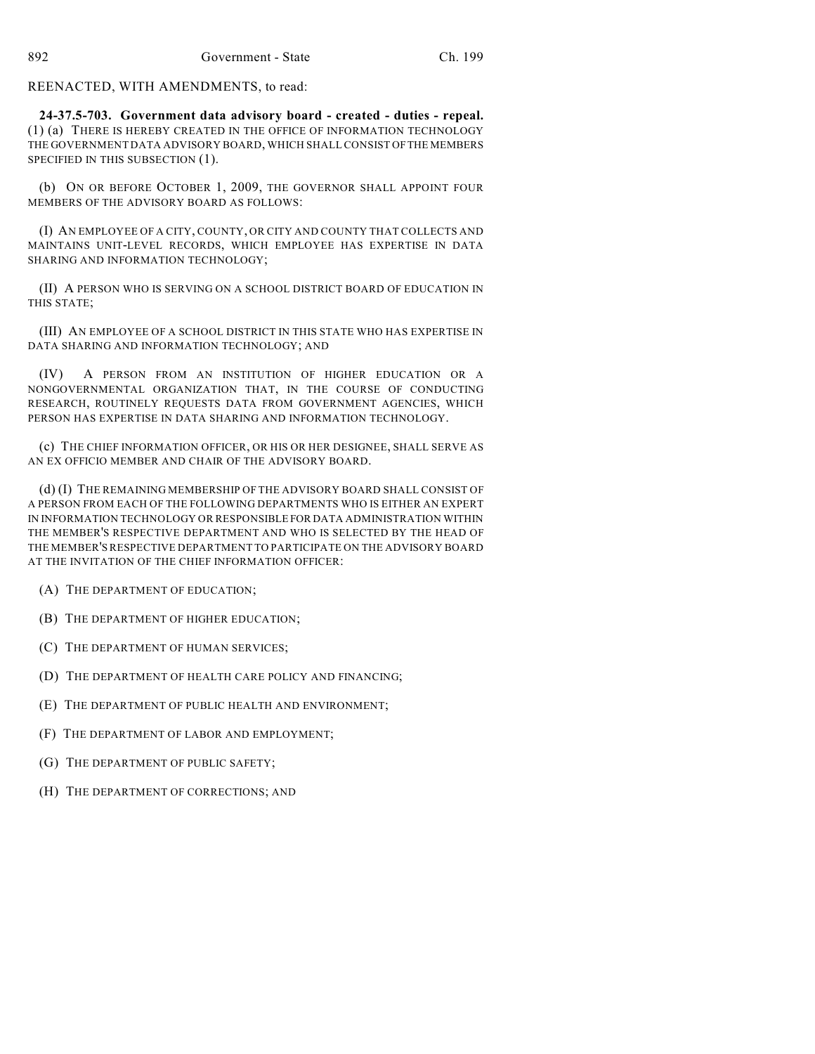REENACTED, WITH AMENDMENTS, to read:

**24-37.5-703. Government data advisory board - created - duties - repeal.** (1) (a) THERE IS HEREBY CREATED IN THE OFFICE OF INFORMATION TECHNOLOGY THE GOVERNMENT DATA ADVISORY BOARD, WHICH SHALL CONSIST OF THE MEMBERS SPECIFIED IN THIS SUBSECTION (1).

(b) ON OR BEFORE OCTOBER 1, 2009, THE GOVERNOR SHALL APPOINT FOUR MEMBERS OF THE ADVISORY BOARD AS FOLLOWS:

(I) AN EMPLOYEE OF A CITY, COUNTY, OR CITY AND COUNTY THAT COLLECTS AND MAINTAINS UNIT-LEVEL RECORDS, WHICH EMPLOYEE HAS EXPERTISE IN DATA SHARING AND INFORMATION TECHNOLOGY;

(II) A PERSON WHO IS SERVING ON A SCHOOL DISTRICT BOARD OF EDUCATION IN THIS STATE;

(III) AN EMPLOYEE OF A SCHOOL DISTRICT IN THIS STATE WHO HAS EXPERTISE IN DATA SHARING AND INFORMATION TECHNOLOGY; AND

(IV) A PERSON FROM AN INSTITUTION OF HIGHER EDUCATION OR A NONGOVERNMENTAL ORGANIZATION THAT, IN THE COURSE OF CONDUCTING RESEARCH, ROUTINELY REQUESTS DATA FROM GOVERNMENT AGENCIES, WHICH PERSON HAS EXPERTISE IN DATA SHARING AND INFORMATION TECHNOLOGY.

(c) THE CHIEF INFORMATION OFFICER, OR HIS OR HER DESIGNEE, SHALL SERVE AS AN EX OFFICIO MEMBER AND CHAIR OF THE ADVISORY BOARD.

(d) (I) THE REMAINING MEMBERSHIP OF THE ADVISORY BOARD SHALL CONSIST OF A PERSON FROM EACH OF THE FOLLOWING DEPARTMENTS WHO IS EITHER AN EXPERT IN INFORMATION TECHNOLOGY OR RESPONSIBLE FOR DATA ADMINISTRATION WITHIN THE MEMBER'S RESPECTIVE DEPARTMENT AND WHO IS SELECTED BY THE HEAD OF THE MEMBER'S RESPECTIVE DEPARTMENT TO PARTICIPATE ON THE ADVISORY BOARD AT THE INVITATION OF THE CHIEF INFORMATION OFFICER:

(A) THE DEPARTMENT OF EDUCATION;

(B) THE DEPARTMENT OF HIGHER EDUCATION;

(C) THE DEPARTMENT OF HUMAN SERVICES;

(D) THE DEPARTMENT OF HEALTH CARE POLICY AND FINANCING;

(E) THE DEPARTMENT OF PUBLIC HEALTH AND ENVIRONMENT;

(F) THE DEPARTMENT OF LABOR AND EMPLOYMENT;

(G) THE DEPARTMENT OF PUBLIC SAFETY;

(H) THE DEPARTMENT OF CORRECTIONS; AND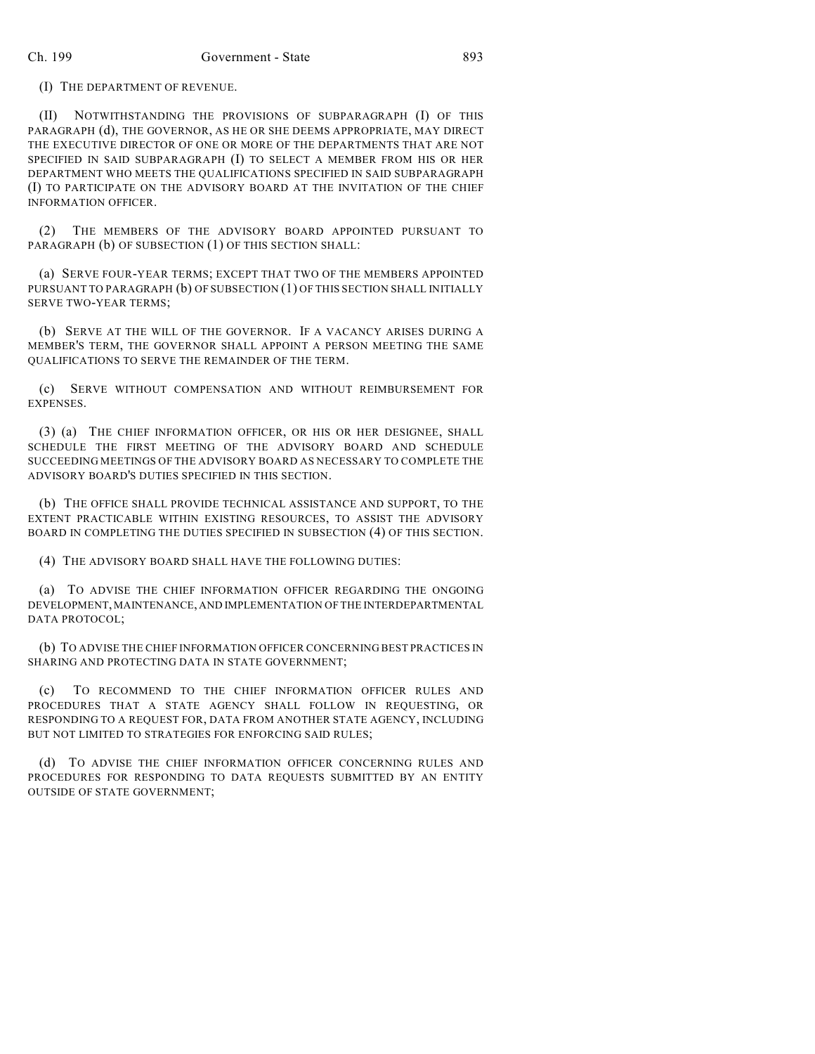(I) THE DEPARTMENT OF REVENUE.

(II) NOTWITHSTANDING THE PROVISIONS OF SUBPARAGRAPH (I) OF THIS PARAGRAPH (d), THE GOVERNOR, AS HE OR SHE DEEMS APPROPRIATE, MAY DIRECT THE EXECUTIVE DIRECTOR OF ONE OR MORE OF THE DEPARTMENTS THAT ARE NOT SPECIFIED IN SAID SUBPARAGRAPH (I) TO SELECT A MEMBER FROM HIS OR HER DEPARTMENT WHO MEETS THE QUALIFICATIONS SPECIFIED IN SAID SUBPARAGRAPH (I) TO PARTICIPATE ON THE ADVISORY BOARD AT THE INVITATION OF THE CHIEF INFORMATION OFFICER.

(2) THE MEMBERS OF THE ADVISORY BOARD APPOINTED PURSUANT TO PARAGRAPH (b) OF SUBSECTION (1) OF THIS SECTION SHALL:

(a) SERVE FOUR-YEAR TERMS; EXCEPT THAT TWO OF THE MEMBERS APPOINTED PURSUANT TO PARAGRAPH (b) OF SUBSECTION (1) OF THIS SECTION SHALL INITIALLY SERVE TWO-YEAR TERMS;

(b) SERVE AT THE WILL OF THE GOVERNOR. IF A VACANCY ARISES DURING A MEMBER'S TERM, THE GOVERNOR SHALL APPOINT A PERSON MEETING THE SAME QUALIFICATIONS TO SERVE THE REMAINDER OF THE TERM.

(c) SERVE WITHOUT COMPENSATION AND WITHOUT REIMBURSEMENT FOR EXPENSES.

(3) (a) THE CHIEF INFORMATION OFFICER, OR HIS OR HER DESIGNEE, SHALL SCHEDULE THE FIRST MEETING OF THE ADVISORY BOARD AND SCHEDULE SUCCEEDING MEETINGS OF THE ADVISORY BOARD AS NECESSARY TO COMPLETE THE ADVISORY BOARD'S DUTIES SPECIFIED IN THIS SECTION.

(b) THE OFFICE SHALL PROVIDE TECHNICAL ASSISTANCE AND SUPPORT, TO THE EXTENT PRACTICABLE WITHIN EXISTING RESOURCES, TO ASSIST THE ADVISORY BOARD IN COMPLETING THE DUTIES SPECIFIED IN SUBSECTION (4) OF THIS SECTION.

(4) THE ADVISORY BOARD SHALL HAVE THE FOLLOWING DUTIES:

(a) TO ADVISE THE CHIEF INFORMATION OFFICER REGARDING THE ONGOING DEVELOPMENT, MAINTENANCE, AND IMPLEMENTATION OF THE INTERDEPARTMENTAL DATA PROTOCOL;

(b) TO ADVISE THE CHIEF INFORMATION OFFICER CONCERNING BEST PRACTICES IN SHARING AND PROTECTING DATA IN STATE GOVERNMENT;

(c) TO RECOMMEND TO THE CHIEF INFORMATION OFFICER RULES AND PROCEDURES THAT A STATE AGENCY SHALL FOLLOW IN REQUESTING, OR RESPONDING TO A REQUEST FOR, DATA FROM ANOTHER STATE AGENCY, INCLUDING BUT NOT LIMITED TO STRATEGIES FOR ENFORCING SAID RULES;

(d) TO ADVISE THE CHIEF INFORMATION OFFICER CONCERNING RULES AND PROCEDURES FOR RESPONDING TO DATA REQUESTS SUBMITTED BY AN ENTITY OUTSIDE OF STATE GOVERNMENT;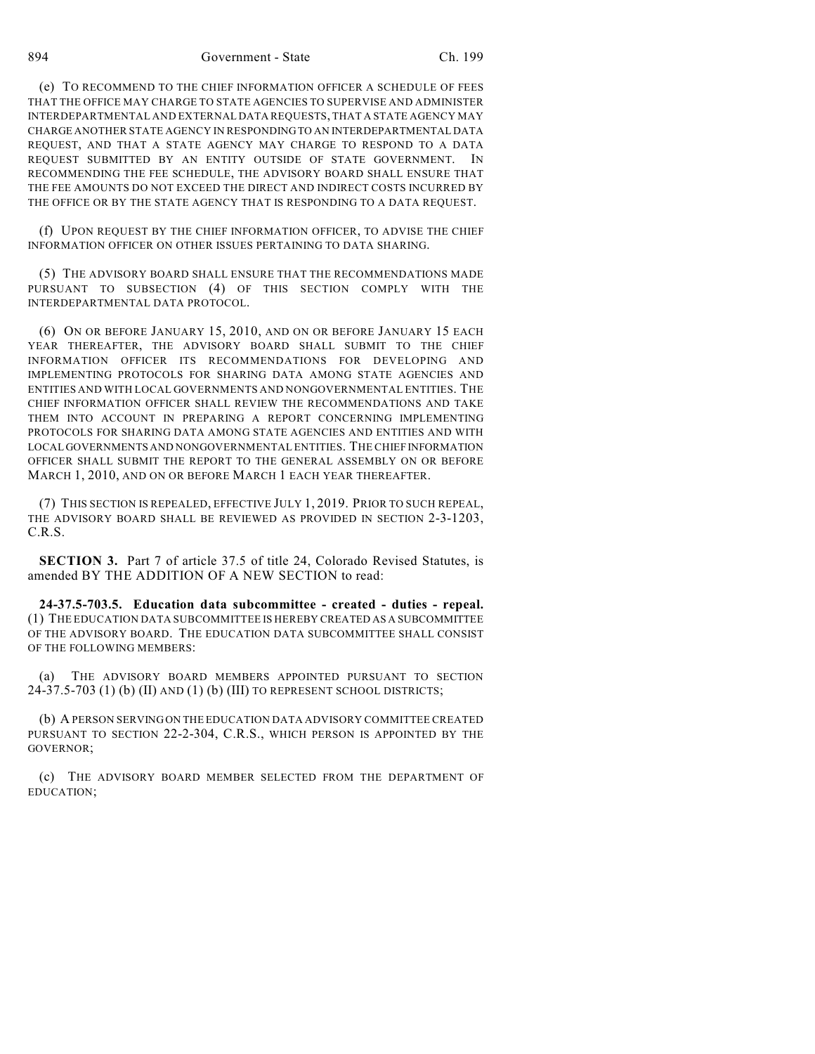894 Government - State Ch. 199

(e) TO RECOMMEND TO THE CHIEF INFORMATION OFFICER A SCHEDULE OF FEES THAT THE OFFICE MAY CHARGE TO STATE AGENCIES TO SUPERVISE AND ADMINISTER INTERDEPARTMENTAL AND EXTERNAL DATA REQUESTS, THAT A STATE AGENCY MAY CHARGE ANOTHER STATE AGENCY IN RESPONDING TO AN INTERDEPARTMENTAL DATA REQUEST, AND THAT A STATE AGENCY MAY CHARGE TO RESPOND TO A DATA REQUEST SUBMITTED BY AN ENTITY OUTSIDE OF STATE GOVERNMENT. IN RECOMMENDING THE FEE SCHEDULE, THE ADVISORY BOARD SHALL ENSURE THAT THE FEE AMOUNTS DO NOT EXCEED THE DIRECT AND INDIRECT COSTS INCURRED BY THE OFFICE OR BY THE STATE AGENCY THAT IS RESPONDING TO A DATA REQUEST.

(f) UPON REQUEST BY THE CHIEF INFORMATION OFFICER, TO ADVISE THE CHIEF INFORMATION OFFICER ON OTHER ISSUES PERTAINING TO DATA SHARING.

(5) THE ADVISORY BOARD SHALL ENSURE THAT THE RECOMMENDATIONS MADE PURSUANT TO SUBSECTION (4) OF THIS SECTION COMPLY WITH THE INTERDEPARTMENTAL DATA PROTOCOL.

(6) ON OR BEFORE JANUARY 15, 2010, AND ON OR BEFORE JANUARY 15 EACH YEAR THEREAFTER, THE ADVISORY BOARD SHALL SUBMIT TO THE CHIEF INFORMATION OFFICER ITS RECOMMENDATIONS FOR DEVELOPING AND IMPLEMENTING PROTOCOLS FOR SHARING DATA AMONG STATE AGENCIES AND ENTITIES AND WITH LOCAL GOVERNMENTS AND NONGOVERNMENTAL ENTITIES. THE CHIEF INFORMATION OFFICER SHALL REVIEW THE RECOMMENDATIONS AND TAKE THEM INTO ACCOUNT IN PREPARING A REPORT CONCERNING IMPLEMENTING PROTOCOLS FOR SHARING DATA AMONG STATE AGENCIES AND ENTITIES AND WITH LOCAL GOVERNMENTS AND NONGOVERNMENTAL ENTITIES. THE CHIEF INFORMATION OFFICER SHALL SUBMIT THE REPORT TO THE GENERAL ASSEMBLY ON OR BEFORE MARCH 1, 2010, AND ON OR BEFORE MARCH 1 EACH YEAR THEREAFTER.

(7) THIS SECTION IS REPEALED, EFFECTIVE JULY 1, 2019. PRIOR TO SUCH REPEAL, THE ADVISORY BOARD SHALL BE REVIEWED AS PROVIDED IN SECTION 2-3-1203, C.R.S.

**SECTION 3.** Part 7 of article 37.5 of title 24, Colorado Revised Statutes, is amended BY THE ADDITION OF A NEW SECTION to read:

**24-37.5-703.5. Education data subcommittee - created - duties - repeal.** (1) THE EDUCATION DATA SUBCOMMITTEE IS HEREBY CREATED AS A SUBCOMMITTEE OF THE ADVISORY BOARD. THE EDUCATION DATA SUBCOMMITTEE SHALL CONSIST OF THE FOLLOWING MEMBERS:

(a) THE ADVISORY BOARD MEMBERS APPOINTED PURSUANT TO SECTION 24-37.5-703 (1) (b) (II) AND (1) (b) (III) TO REPRESENT SCHOOL DISTRICTS;

(b) A PERSON SERVING ON THE EDUCATION DATA ADVISORY COMMITTEE CREATED PURSUANT TO SECTION 22-2-304, C.R.S., WHICH PERSON IS APPOINTED BY THE GOVERNOR;

(c) THE ADVISORY BOARD MEMBER SELECTED FROM THE DEPARTMENT OF EDUCATION;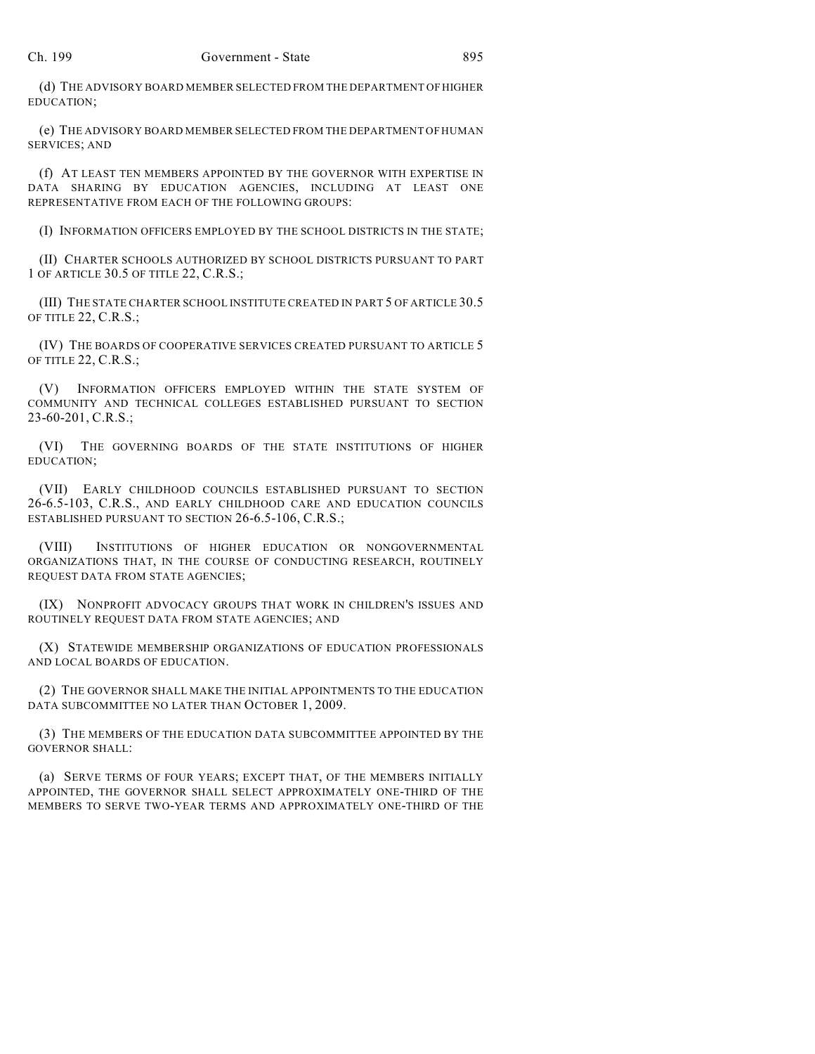(d) THE ADVISORY BOARD MEMBER SELECTED FROM THE DEPARTMENT OF HIGHER EDUCATION;

(e) THE ADVISORY BOARD MEMBER SELECTED FROM THE DEPARTMENT OF HUMAN SERVICES; AND

(f) AT LEAST TEN MEMBERS APPOINTED BY THE GOVERNOR WITH EXPERTISE IN DATA SHARING BY EDUCATION AGENCIES, INCLUDING AT LEAST ONE REPRESENTATIVE FROM EACH OF THE FOLLOWING GROUPS:

(I) INFORMATION OFFICERS EMPLOYED BY THE SCHOOL DISTRICTS IN THE STATE;

(II) CHARTER SCHOOLS AUTHORIZED BY SCHOOL DISTRICTS PURSUANT TO PART 1 OF ARTICLE 30.5 OF TITLE 22, C.R.S.;

(III) THE STATE CHARTER SCHOOL INSTITUTE CREATED IN PART 5 OF ARTICLE 30.5 OF TITLE 22, C.R.S.;

(IV) THE BOARDS OF COOPERATIVE SERVICES CREATED PURSUANT TO ARTICLE 5 OF TITLE 22, C.R.S.;

(V) INFORMATION OFFICERS EMPLOYED WITHIN THE STATE SYSTEM OF COMMUNITY AND TECHNICAL COLLEGES ESTABLISHED PURSUANT TO SECTION 23-60-201, C.R.S.;

(VI) THE GOVERNING BOARDS OF THE STATE INSTITUTIONS OF HIGHER EDUCATION;

(VII) EARLY CHILDHOOD COUNCILS ESTABLISHED PURSUANT TO SECTION 26-6.5-103, C.R.S., AND EARLY CHILDHOOD CARE AND EDUCATION COUNCILS ESTABLISHED PURSUANT TO SECTION 26-6.5-106, C.R.S.;

(VIII) INSTITUTIONS OF HIGHER EDUCATION OR NONGOVERNMENTAL ORGANIZATIONS THAT, IN THE COURSE OF CONDUCTING RESEARCH, ROUTINELY REQUEST DATA FROM STATE AGENCIES;

(IX) NONPROFIT ADVOCACY GROUPS THAT WORK IN CHILDREN'S ISSUES AND ROUTINELY REQUEST DATA FROM STATE AGENCIES; AND

(X) STATEWIDE MEMBERSHIP ORGANIZATIONS OF EDUCATION PROFESSIONALS AND LOCAL BOARDS OF EDUCATION.

(2) THE GOVERNOR SHALL MAKE THE INITIAL APPOINTMENTS TO THE EDUCATION DATA SUBCOMMITTEE NO LATER THAN OCTOBER 1, 2009.

(3) THE MEMBERS OF THE EDUCATION DATA SUBCOMMITTEE APPOINTED BY THE GOVERNOR SHALL:

(a) SERVE TERMS OF FOUR YEARS; EXCEPT THAT, OF THE MEMBERS INITIALLY APPOINTED, THE GOVERNOR SHALL SELECT APPROXIMATELY ONE-THIRD OF THE MEMBERS TO SERVE TWO-YEAR TERMS AND APPROXIMATELY ONE-THIRD OF THE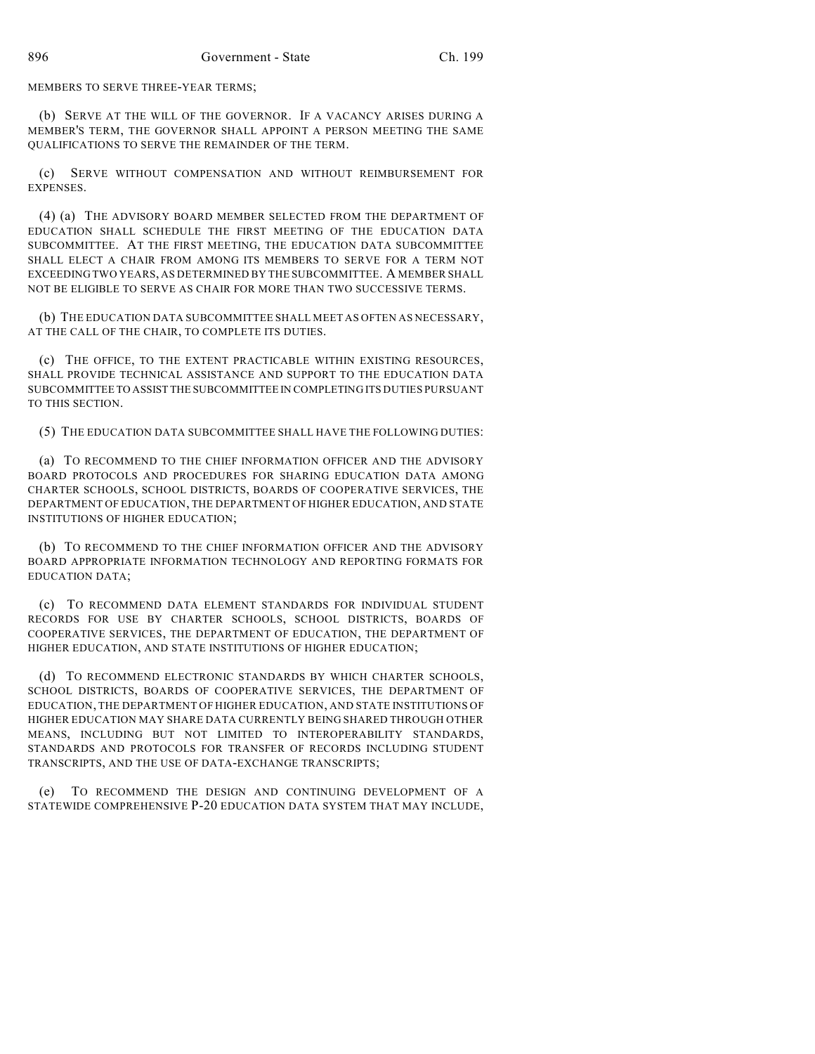MEMBERS TO SERVE THREE-YEAR TERMS;

(b) SERVE AT THE WILL OF THE GOVERNOR. IF A VACANCY ARISES DURING A MEMBER'S TERM, THE GOVERNOR SHALL APPOINT A PERSON MEETING THE SAME QUALIFICATIONS TO SERVE THE REMAINDER OF THE TERM.

(c) SERVE WITHOUT COMPENSATION AND WITHOUT REIMBURSEMENT FOR **EXPENSES** 

(4) (a) THE ADVISORY BOARD MEMBER SELECTED FROM THE DEPARTMENT OF EDUCATION SHALL SCHEDULE THE FIRST MEETING OF THE EDUCATION DATA SUBCOMMITTEE. AT THE FIRST MEETING, THE EDUCATION DATA SUBCOMMITTEE SHALL ELECT A CHAIR FROM AMONG ITS MEMBERS TO SERVE FOR A TERM NOT EXCEEDING TWO YEARS, AS DETERMINED BY THE SUBCOMMITTEE. A MEMBER SHALL NOT BE ELIGIBLE TO SERVE AS CHAIR FOR MORE THAN TWO SUCCESSIVE TERMS.

(b) THE EDUCATION DATA SUBCOMMITTEE SHALL MEET AS OFTEN AS NECESSARY, AT THE CALL OF THE CHAIR, TO COMPLETE ITS DUTIES.

(c) THE OFFICE, TO THE EXTENT PRACTICABLE WITHIN EXISTING RESOURCES, SHALL PROVIDE TECHNICAL ASSISTANCE AND SUPPORT TO THE EDUCATION DATA SUBCOMMITTEE TO ASSIST THE SUBCOMMITTEE IN COMPLETING ITS DUTIES PURSUANT TO THIS SECTION.

(5) THE EDUCATION DATA SUBCOMMITTEE SHALL HAVE THE FOLLOWING DUTIES:

(a) TO RECOMMEND TO THE CHIEF INFORMATION OFFICER AND THE ADVISORY BOARD PROTOCOLS AND PROCEDURES FOR SHARING EDUCATION DATA AMONG CHARTER SCHOOLS, SCHOOL DISTRICTS, BOARDS OF COOPERATIVE SERVICES, THE DEPARTMENT OF EDUCATION, THE DEPARTMENT OF HIGHER EDUCATION, AND STATE INSTITUTIONS OF HIGHER EDUCATION;

(b) TO RECOMMEND TO THE CHIEF INFORMATION OFFICER AND THE ADVISORY BOARD APPROPRIATE INFORMATION TECHNOLOGY AND REPORTING FORMATS FOR EDUCATION DATA;

(c) TO RECOMMEND DATA ELEMENT STANDARDS FOR INDIVIDUAL STUDENT RECORDS FOR USE BY CHARTER SCHOOLS, SCHOOL DISTRICTS, BOARDS OF COOPERATIVE SERVICES, THE DEPARTMENT OF EDUCATION, THE DEPARTMENT OF HIGHER EDUCATION, AND STATE INSTITUTIONS OF HIGHER EDUCATION;

(d) TO RECOMMEND ELECTRONIC STANDARDS BY WHICH CHARTER SCHOOLS, SCHOOL DISTRICTS, BOARDS OF COOPERATIVE SERVICES, THE DEPARTMENT OF EDUCATION, THE DEPARTMENT OF HIGHER EDUCATION, AND STATE INSTITUTIONS OF HIGHER EDUCATION MAY SHARE DATA CURRENTLY BEING SHARED THROUGH OTHER MEANS, INCLUDING BUT NOT LIMITED TO INTEROPERABILITY STANDARDS, STANDARDS AND PROTOCOLS FOR TRANSFER OF RECORDS INCLUDING STUDENT TRANSCRIPTS, AND THE USE OF DATA-EXCHANGE TRANSCRIPTS;

(e) TO RECOMMEND THE DESIGN AND CONTINUING DEVELOPMENT OF A STATEWIDE COMPREHENSIVE P-20 EDUCATION DATA SYSTEM THAT MAY INCLUDE,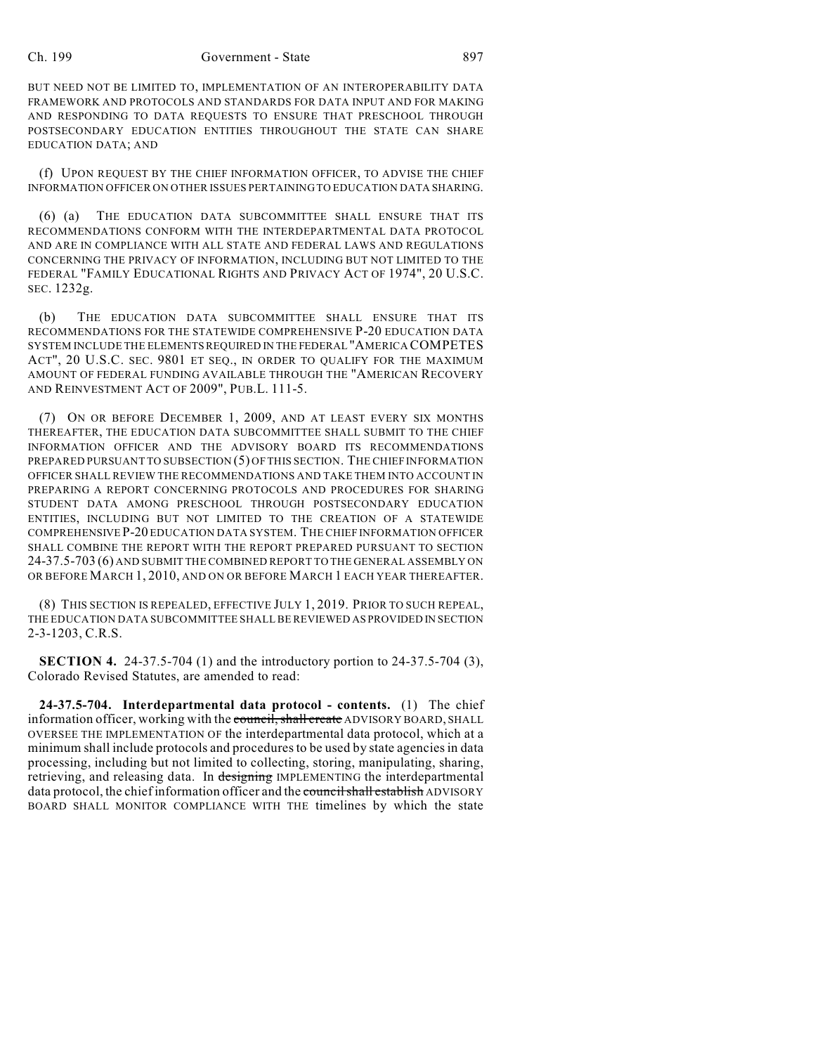#### Ch. 199 Government - State 897

BUT NEED NOT BE LIMITED TO, IMPLEMENTATION OF AN INTEROPERABILITY DATA FRAMEWORK AND PROTOCOLS AND STANDARDS FOR DATA INPUT AND FOR MAKING AND RESPONDING TO DATA REQUESTS TO ENSURE THAT PRESCHOOL THROUGH POSTSECONDARY EDUCATION ENTITIES THROUGHOUT THE STATE CAN SHARE EDUCATION DATA; AND

(f) UPON REQUEST BY THE CHIEF INFORMATION OFFICER, TO ADVISE THE CHIEF INFORMATION OFFICER ON OTHER ISSUES PERTAINING TO EDUCATION DATA SHARING.

(6) (a) THE EDUCATION DATA SUBCOMMITTEE SHALL ENSURE THAT ITS RECOMMENDATIONS CONFORM WITH THE INTERDEPARTMENTAL DATA PROTOCOL AND ARE IN COMPLIANCE WITH ALL STATE AND FEDERAL LAWS AND REGULATIONS CONCERNING THE PRIVACY OF INFORMATION, INCLUDING BUT NOT LIMITED TO THE FEDERAL "FAMILY EDUCATIONAL RIGHTS AND PRIVACY ACT OF 1974", 20 U.S.C. SEC. 1232g.

(b) THE EDUCATION DATA SUBCOMMITTEE SHALL ENSURE THAT ITS RECOMMENDATIONS FOR THE STATEWIDE COMPREHENSIVE P-20 EDUCATION DATA SYSTEM INCLUDE THE ELEMENTS REQUIRED IN THE FEDERAL "AMERICA COMPETES ACT", 20 U.S.C. SEC. 9801 ET SEQ., IN ORDER TO QUALIFY FOR THE MAXIMUM AMOUNT OF FEDERAL FUNDING AVAILABLE THROUGH THE "AMERICAN RECOVERY AND REINVESTMENT ACT OF 2009", PUB.L. 111-5.

(7) ON OR BEFORE DECEMBER 1, 2009, AND AT LEAST EVERY SIX MONTHS THEREAFTER, THE EDUCATION DATA SUBCOMMITTEE SHALL SUBMIT TO THE CHIEF INFORMATION OFFICER AND THE ADVISORY BOARD ITS RECOMMENDATIONS PREPARED PURSUANT TO SUBSECTION (5) OF THIS SECTION. THE CHIEF INFORMATION OFFICER SHALL REVIEW THE RECOMMENDATIONS AND TAKE THEM INTO ACCOUNT IN PREPARING A REPORT CONCERNING PROTOCOLS AND PROCEDURES FOR SHARING STUDENT DATA AMONG PRESCHOOL THROUGH POSTSECONDARY EDUCATION ENTITIES, INCLUDING BUT NOT LIMITED TO THE CREATION OF A STATEWIDE COMPREHENSIVE P-20 EDUCATION DATA SYSTEM. THE CHIEF INFORMATION OFFICER SHALL COMBINE THE REPORT WITH THE REPORT PREPARED PURSUANT TO SECTION 24-37.5-703 (6) AND SUBMIT THE COMBINED REPORT TO THE GENERAL ASSEMBLY ON OR BEFORE MARCH 1, 2010, AND ON OR BEFORE MARCH 1 EACH YEAR THEREAFTER.

(8) THIS SECTION IS REPEALED, EFFECTIVE JULY 1, 2019. PRIOR TO SUCH REPEAL, THE EDUCATION DATA SUBCOMMITTEE SHALL BE REVIEWED AS PROVIDED IN SECTION 2-3-1203, C.R.S.

**SECTION 4.** 24-37.5-704 (1) and the introductory portion to 24-37.5-704 (3), Colorado Revised Statutes, are amended to read:

**24-37.5-704. Interdepartmental data protocol - contents.** (1) The chief information officer, working with the council, shall create ADVISORY BOARD, SHALL OVERSEE THE IMPLEMENTATION OF the interdepartmental data protocol, which at a minimum shall include protocols and procedures to be used by state agencies in data processing, including but not limited to collecting, storing, manipulating, sharing, retrieving, and releasing data. In designing IMPLEMENTING the interdepartmental data protocol, the chief information officer and the council shall establish ADVISORY BOARD SHALL MONITOR COMPLIANCE WITH THE timelines by which the state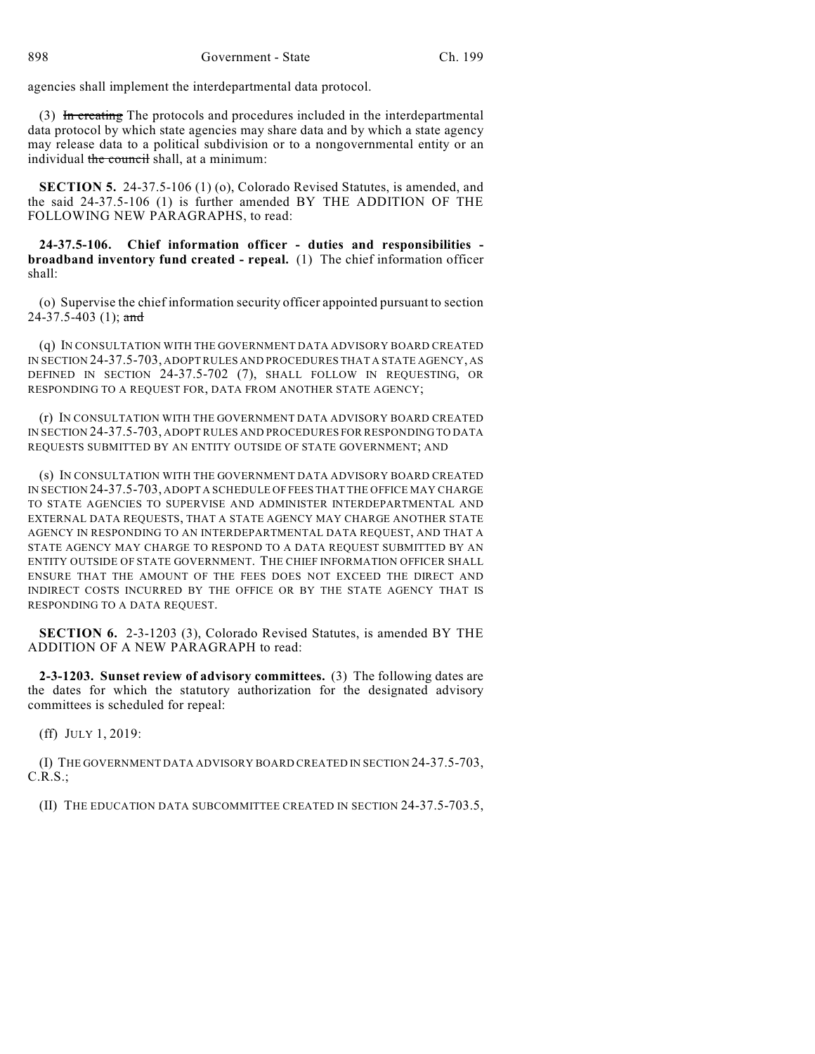agencies shall implement the interdepartmental data protocol.

(3) In creating The protocols and procedures included in the interdepartmental data protocol by which state agencies may share data and by which a state agency may release data to a political subdivision or to a nongovernmental entity or an individual the council shall, at a minimum:

**SECTION 5.** 24-37.5-106 (1) (o), Colorado Revised Statutes, is amended, and the said 24-37.5-106 (1) is further amended BY THE ADDITION OF THE FOLLOWING NEW PARAGRAPHS, to read:

**24-37.5-106. Chief information officer - duties and responsibilities broadband inventory fund created - repeal.** (1) The chief information officer shall:

(o) Supervise the chief information security officer appointed pursuant to section 24-37.5-403 (1); and

(q) IN CONSULTATION WITH THE GOVERNMENT DATA ADVISORY BOARD CREATED IN SECTION 24-37.5-703, ADOPT RULES AND PROCEDURES THAT A STATE AGENCY, AS DEFINED IN SECTION 24-37.5-702 (7), SHALL FOLLOW IN REQUESTING, OR RESPONDING TO A REQUEST FOR, DATA FROM ANOTHER STATE AGENCY;

(r) IN CONSULTATION WITH THE GOVERNMENT DATA ADVISORY BOARD CREATED IN SECTION 24-37.5-703, ADOPT RULES AND PROCEDURES FOR RESPONDING TO DATA REQUESTS SUBMITTED BY AN ENTITY OUTSIDE OF STATE GOVERNMENT; AND

(s) IN CONSULTATION WITH THE GOVERNMENT DATA ADVISORY BOARD CREATED IN SECTION 24-37.5-703, ADOPT A SCHEDULE OF FEES THAT THE OFFICE MAY CHARGE TO STATE AGENCIES TO SUPERVISE AND ADMINISTER INTERDEPARTMENTAL AND EXTERNAL DATA REQUESTS, THAT A STATE AGENCY MAY CHARGE ANOTHER STATE AGENCY IN RESPONDING TO AN INTERDEPARTMENTAL DATA REQUEST, AND THAT A STATE AGENCY MAY CHARGE TO RESPOND TO A DATA REQUEST SUBMITTED BY AN ENTITY OUTSIDE OF STATE GOVERNMENT. THE CHIEF INFORMATION OFFICER SHALL ENSURE THAT THE AMOUNT OF THE FEES DOES NOT EXCEED THE DIRECT AND INDIRECT COSTS INCURRED BY THE OFFICE OR BY THE STATE AGENCY THAT IS RESPONDING TO A DATA REQUEST.

**SECTION 6.** 2-3-1203 (3), Colorado Revised Statutes, is amended BY THE ADDITION OF A NEW PARAGRAPH to read:

**2-3-1203. Sunset review of advisory committees.** (3) The following dates are the dates for which the statutory authorization for the designated advisory committees is scheduled for repeal:

(ff) JULY 1, 2019:

(I) THE GOVERNMENT DATA ADVISORY BOARD CREATED IN SECTION 24-37.5-703, C.R.S.;

(II) THE EDUCATION DATA SUBCOMMITTEE CREATED IN SECTION 24-37.5-703.5,